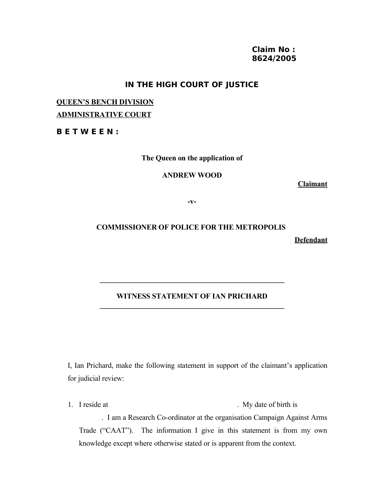### **Claim No : 8624/2005**

## **IN THE HIGH COURT OF JUSTICE**

# **QUEEN'S BENCH DIVISION ADMINISTRATIVE COURT**

#### **B E T W E E N :**

**The Queen on the application of**

#### **ANDREW WOOD**

**Claimant**

**-v-**

# **COMMISSIONER OF POLICE FOR THE METROPOLIS**

**Defendant**

#### **WITNESS STATEMENT OF IAN PRICHARD \_\_\_\_\_\_\_\_\_\_\_\_\_\_\_\_\_\_\_\_\_\_\_\_\_\_\_\_\_\_\_\_\_\_\_\_\_\_\_\_\_\_\_\_\_\_\_\_\_\_**

**\_\_\_\_\_\_\_\_\_\_\_\_\_\_\_\_\_\_\_\_\_\_\_\_\_\_\_\_\_\_\_\_\_\_\_\_\_\_\_\_\_\_\_\_\_\_\_\_\_\_**

I, Ian Prichard, make the following statement in support of the claimant's application for judicial review:

1. I reside at . My date of birth is . I am a Research Co-ordinator at the organisation Campaign Against Arms Trade ("CAAT"). The information I give in this statement is from my own knowledge except where otherwise stated or is apparent from the context.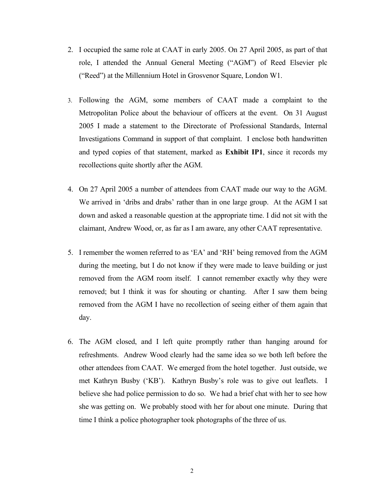- 2. I occupied the same role at CAAT in early 2005. On 27 April 2005, as part of that role, I attended the Annual General Meeting ("AGM") of Reed Elsevier plc ("Reed") at the Millennium Hotel in Grosvenor Square, London W1.
- 3. Following the AGM, some members of CAAT made a complaint to the Metropolitan Police about the behaviour of officers at the event. On 31 August 2005 I made a statement to the Directorate of Professional Standards, Internal Investigations Command in support of that complaint. I enclose both handwritten and typed copies of that statement, marked as **Exhibit IP1**, since it records my recollections quite shortly after the AGM.
- 4. On 27 April 2005 a number of attendees from CAAT made our way to the AGM. We arrived in 'dribs and drabs' rather than in one large group. At the AGM I sat down and asked a reasonable question at the appropriate time. I did not sit with the claimant, Andrew Wood, or, as far as I am aware, any other CAAT representative.
- 5. I remember the women referred to as 'EA' and 'RH' being removed from the AGM during the meeting, but I do not know if they were made to leave building or just removed from the AGM room itself. I cannot remember exactly why they were removed; but I think it was for shouting or chanting. After I saw them being removed from the AGM I have no recollection of seeing either of them again that day.
- 6. The AGM closed, and I left quite promptly rather than hanging around for refreshments. Andrew Wood clearly had the same idea so we both left before the other attendees from CAAT. We emerged from the hotel together. Just outside, we met Kathryn Busby ('KB'). Kathryn Busby's role was to give out leaflets. I believe she had police permission to do so. We had a brief chat with her to see how she was getting on. We probably stood with her for about one minute. During that time I think a police photographer took photographs of the three of us.